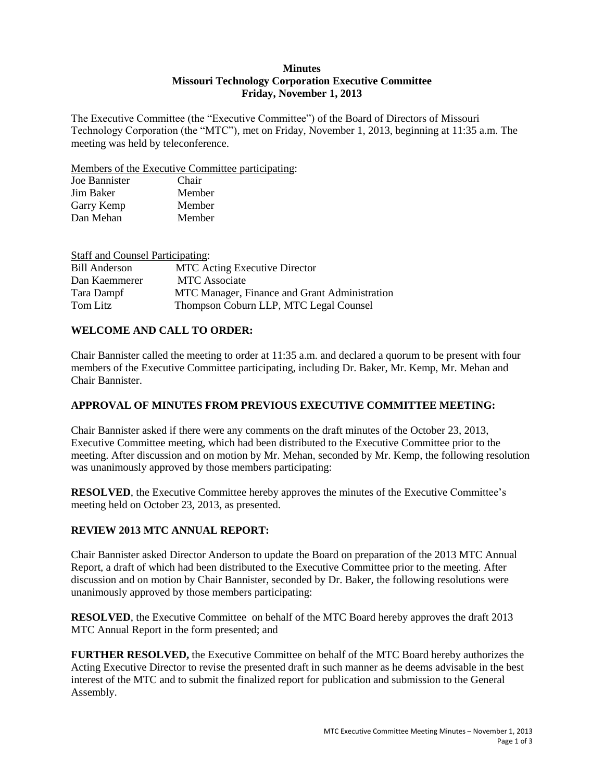#### **Minutes Missouri Technology Corporation Executive Committee Friday, November 1, 2013**

The Executive Committee (the "Executive Committee") of the Board of Directors of Missouri Technology Corporation (the "MTC"), met on Friday, November 1, 2013, beginning at 11:35 a.m. The meeting was held by teleconference.

Members of the Executive Committee participating:

| Joe Bannister | Chair  |
|---------------|--------|
| Jim Baker     | Member |
| Garry Kemp    | Member |
| Dan Mehan     | Member |

| <b>Staff and Counsel Participating:</b>       |
|-----------------------------------------------|
| <b>MTC Acting Executive Director</b>          |
| <b>MTC</b> Associate                          |
| MTC Manager, Finance and Grant Administration |
| Thompson Coburn LLP, MTC Legal Counsel        |
|                                               |

## **WELCOME AND CALL TO ORDER:**

Chair Bannister called the meeting to order at 11:35 a.m. and declared a quorum to be present with four members of the Executive Committee participating, including Dr. Baker, Mr. Kemp, Mr. Mehan and Chair Bannister.

## **APPROVAL OF MINUTES FROM PREVIOUS EXECUTIVE COMMITTEE MEETING:**

Chair Bannister asked if there were any comments on the draft minutes of the October 23, 2013, Executive Committee meeting, which had been distributed to the Executive Committee prior to the meeting. After discussion and on motion by Mr. Mehan, seconded by Mr. Kemp, the following resolution was unanimously approved by those members participating:

**RESOLVED**, the Executive Committee hereby approves the minutes of the Executive Committee's meeting held on October 23, 2013, as presented.

## **REVIEW 2013 MTC ANNUAL REPORT:**

Chair Bannister asked Director Anderson to update the Board on preparation of the 2013 MTC Annual Report, a draft of which had been distributed to the Executive Committee prior to the meeting. After discussion and on motion by Chair Bannister, seconded by Dr. Baker, the following resolutions were unanimously approved by those members participating:

**RESOLVED**, the Executive Committee on behalf of the MTC Board hereby approves the draft 2013 MTC Annual Report in the form presented; and

**FURTHER RESOLVED,** the Executive Committee on behalf of the MTC Board hereby authorizes the Acting Executive Director to revise the presented draft in such manner as he deems advisable in the best interest of the MTC and to submit the finalized report for publication and submission to the General Assembly.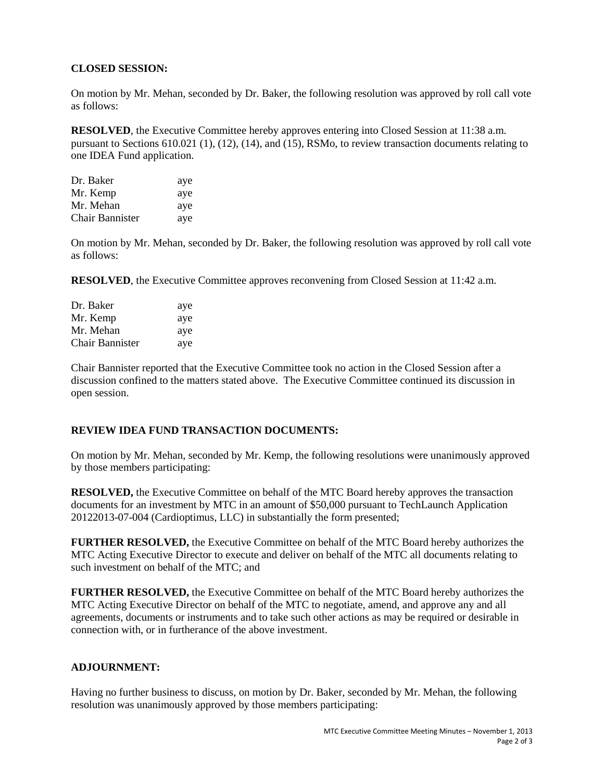## **CLOSED SESSION:**

On motion by Mr. Mehan, seconded by Dr. Baker, the following resolution was approved by roll call vote as follows:

**RESOLVED**, the Executive Committee hereby approves entering into Closed Session at 11:38 a.m. pursuant to Sections 610.021 (1), (12), (14), and (15), RSMo, to review transaction documents relating to one IDEA Fund application.

| Dr. Baker              | aye |
|------------------------|-----|
| Mr. Kemp               | aye |
| Mr. Mehan              | aye |
| <b>Chair Bannister</b> | aye |

On motion by Mr. Mehan, seconded by Dr. Baker, the following resolution was approved by roll call vote as follows:

**RESOLVED**, the Executive Committee approves reconvening from Closed Session at 11:42 a.m.

| Dr. Baker       | aye |
|-----------------|-----|
| Mr. Kemp        | aye |
| Mr. Mehan       | aye |
| Chair Bannister | aye |

Chair Bannister reported that the Executive Committee took no action in the Closed Session after a discussion confined to the matters stated above. The Executive Committee continued its discussion in open session.

## **REVIEW IDEA FUND TRANSACTION DOCUMENTS:**

On motion by Mr. Mehan, seconded by Mr. Kemp, the following resolutions were unanimously approved by those members participating:

**RESOLVED,** the Executive Committee on behalf of the MTC Board hereby approves the transaction documents for an investment by MTC in an amount of \$50,000 pursuant to TechLaunch Application 20122013-07-004 (Cardioptimus, LLC) in substantially the form presented;

**FURTHER RESOLVED,** the Executive Committee on behalf of the MTC Board hereby authorizes the MTC Acting Executive Director to execute and deliver on behalf of the MTC all documents relating to such investment on behalf of the MTC; and

**FURTHER RESOLVED,** the Executive Committee on behalf of the MTC Board hereby authorizes the MTC Acting Executive Director on behalf of the MTC to negotiate, amend, and approve any and all agreements, documents or instruments and to take such other actions as may be required or desirable in connection with, or in furtherance of the above investment.

## **ADJOURNMENT:**

Having no further business to discuss, on motion by Dr. Baker, seconded by Mr. Mehan, the following resolution was unanimously approved by those members participating: